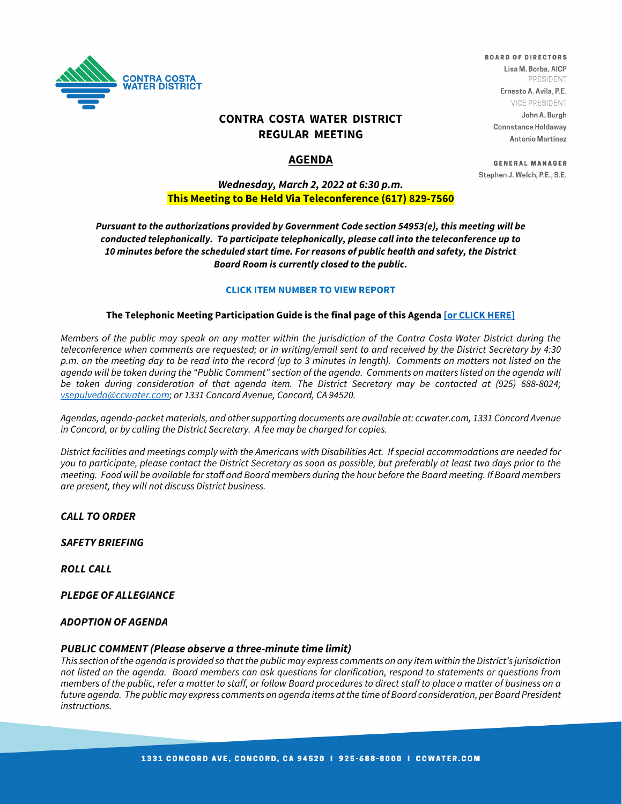

## **CONTRA COSTA WATER DISTRICT REGULAR MEETING**

## **AGENDA**

## *Wednesday, March 2, 2022 at 6:30 p.m.* **This Meeting to Be Held Via Teleconference (617) 829-7560**

*Pursuant to the authorizations provided by Government Code section 54953(e), this meeting will be conducted telephonically. To participate telephonically, please call into the teleconference up to 10 minutes before the scheduled start time. For reasons of public health and safety, the District Board Room is currently closed to the public.*

#### **CLICK ITEM NUMBER TO VIEW REPORT**

#### **The Telephonic Meeting Participation Guide is the final page of this Agenda [\[or CLICK HERE\]](https://www.ccwater.com/DocumentCenter/View/8952/Teleconference-Participation-Guide-for-Board-Meetings)**

*Members of the public may speak on any matter within the jurisdiction of the Contra Costa Water District during the teleconference when comments are requested; or in writing/email sent to and received by the District Secretary by 4:30 p.m. on the meeting day to be read into the record (up to 3 minutes in length). Comments on matters not listed on the*  agenda will be taken during the "Public Comment" section of the agenda. Comments on matters listed on the agenda will *be taken during consideration of that agenda item. The District Secretary may be contacted at (925) 688-8024; [vsepulveda@ccwater.com;](mailto:vsepulveda@ccwater.com) or 1331 Concord Avenue, Concord, CA 94520.* 

*Agendas, agenda-packet materials, and other supporting documents are available at: ccwater.com, 1331 Concord Avenue in Concord, or by calling the District Secretary. A fee may be charged for copies.* 

*District facilities and meetings comply with the Americans with Disabilities Act. If special accommodations are needed for you to participate, please contact the District Secretary as soon as possible, but preferably at least two days prior to the meeting. Food will be available for staff and Board members during the hour before the Board meeting. If Board members are present, they will not discuss District business.*

#### *CALL TO ORDER*

*SAFETY BRIEFING*

*ROLL CALL*

*PLEDGE OF ALLEGIANCE*

#### *ADOPTION OF AGENDA*

#### *PUBLIC COMMENT (Please observe a three-minute time limit)*

*This section of the agenda is provided so that the public may express comments on any item within the District's jurisdiction not listed on the agenda. Board members can ask questions for clarification, respond to statements or questions from members of the public, refer a matter to staff, or follow Board procedures to direct staff to place a matter of business on a future agenda. The public may express comments on agenda items at the time of Board consideration, per Board President instructions.*

**BOARD OF DIRECTORS** Lisa M. Borba, AICP PRESIDENT Ernesto A. Avila, P.E.

> **VICE PRESIDENT** John A. Burgh

**Connstance Holdaway Antonio Martinez** 

**GENERAL MANAGER** Stephen J. Welch, P.E., S.E.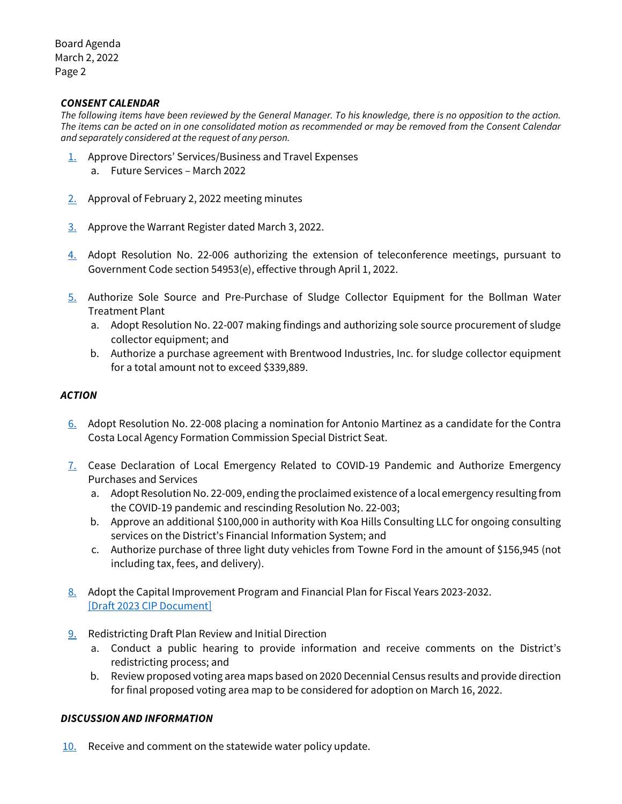### *CONSENT CALENDAR*

*The following items have been reviewed by the General Manager. To his knowledge, there is no opposition to the action. The items can be acted on in one consolidated motion as recommended or may be removed from the Consent Calendar and separately considered at the request of any person.*

- [1.](https://www.ccwater.com/DocumentCenter/View/10826/1_2022-Calendar-of-Board-Future-Services) Approve Directors' Services/Business and Travel Expenses
	- a. Future Services March 2022
- [2.](https://www.ccwater.com/DocumentCenter/View/10827/2_020222-Board-Meeting-Minutes) Approval of February 2, 2022 meeting minutes
- [3.](https://www.ccwater.com/DocumentCenter/View/10828/3---03-03-22-Warrant-Register-Packet) Approve the Warrant Register dated March 3, 2022.
- [4.](https://www.ccwater.com/DocumentCenter/View/10829/4_Teleconference-Extension) Adopt Resolution No. 22-006 authorizing the extension of teleconference meetings, pursuant to Government Code section 54953(e), effective through April 1, 2022.
- [5.](https://www.ccwater.com/DocumentCenter/View/10830/5_Sole-Source-for-Bollman-WTP) Authorize Sole Source and Pre-Purchase of Sludge Collector Equipment for the Bollman Water Treatment Plant
	- a. Adopt Resolution No. 22-007 making findings and authorizing sole source procurement of sludge collector equipment; and
	- b. Authorize a purchase agreement with Brentwood Industries, Inc. for sludge collector equipment for a total amount not to exceed \$339,889.

### *ACTION*

- [6.](https://www.ccwater.com/DocumentCenter/View/10831/6_LAFCO-Nomination) Adopt Resolution No. 22-008 placing a nomination for Antonio Martinez as a candidate for the Contra Costa Local Agency Formation Commission Special District Seat.
- [7.](https://www.ccwater.com/DocumentCenter/View/10832/7_Emergency-Declaration) Cease Declaration of Local Emergency Related to COVID-19 Pandemic and Authorize Emergency Purchases and Services
	- a. Adopt Resolution No. 22-009, ending the proclaimed existence of a local emergency resulting from the COVID-19 pandemic and rescinding Resolution No. 22-003;
	- b. Approve an additional \$100,000 in authority with Koa Hills Consulting LLC for ongoing consulting services on the District's Financial Information System; and
	- c. Authorize purchase of three light duty vehicles from Towne Ford in the amount of \$156,945 (not including tax, fees, and delivery).
- [8.](https://www.ccwater.com/DocumentCenter/View/10833/8_Adoption-of-FY23-32-CIP) Adopt the Capital Improvement Program and Financial Plan for Fiscal Years 2023-2032. [\[Draft 2023 CIP Document\]](https://www.ccwater.com/DocumentCenter/View/10718/2023-2032-CIP-Board-Draft)
- [9.](https://www.ccwater.com/DocumentCenter/View/10834/9_Redistricting-Map-Review) Redistricting Draft Plan Review and Initial Direction
	- a. Conduct a public hearing to provide information and receive comments on the District's redistricting process; and
	- b. Review proposed voting area maps based on 2020 Decennial Census results and provide direction for final proposed voting area map to be considered for adoption on March 16, 2022.

### *DISCUSSION AND INFORMATION*

 $10.$  Receive and comment on the statewide water policy update.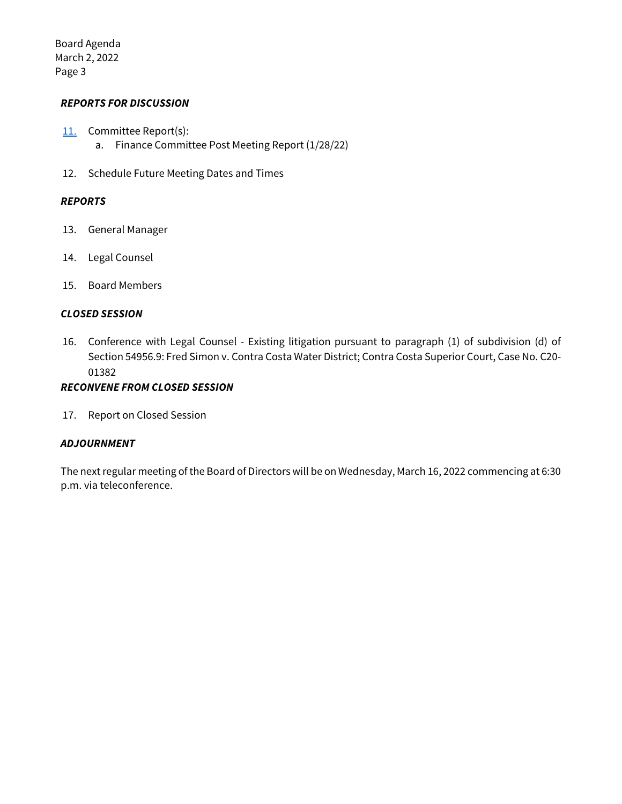### *REPORTS FOR DISCUSSION*

- [11.](https://www.ccwater.com/DocumentCenter/View/10836/11_Finance-Committee-Post-Meeting-Report_Board-of-Directors) Committee Report(s): a. Finance Committee Post Meeting Report (1/28/22)
- 12. Schedule Future Meeting Dates and Times

### *REPORTS*

- 13. General Manager
- 14. Legal Counsel
- 15. Board Members

### *CLOSED SESSION*

16. Conference with Legal Counsel - Existing litigation pursuant to paragraph (1) of subdivision (d) of Section 54956.9: Fred Simon v. Contra Costa Water District; Contra Costa Superior Court, Case No. C20- 01382

## *RECONVENE FROM CLOSED SESSION*

17. Report on Closed Session

### *ADJOURNMENT*

The next regular meeting of the Board of Directors will be on Wednesday, March 16, 2022 commencing at 6:30 p.m. via teleconference.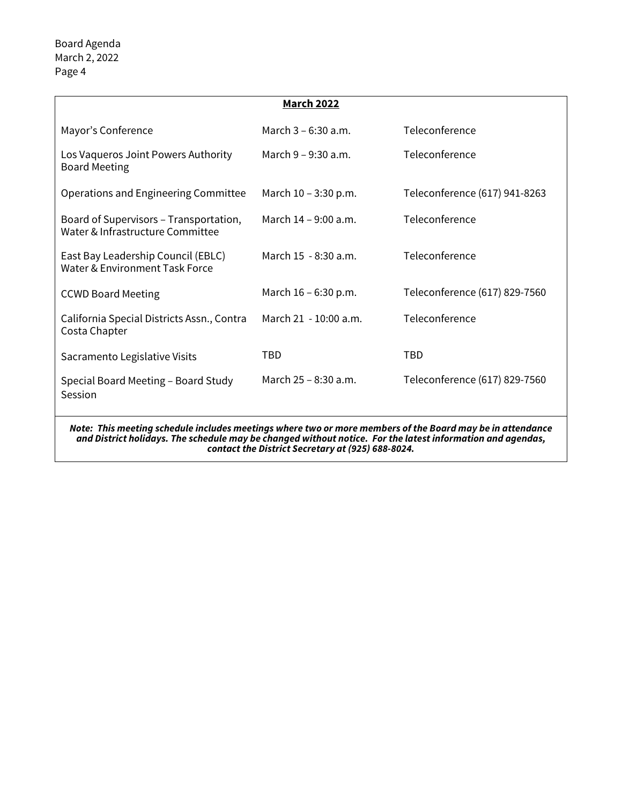|                                                                                                                                                                                                                         | <b>March 2022</b>     |                               |
|-------------------------------------------------------------------------------------------------------------------------------------------------------------------------------------------------------------------------|-----------------------|-------------------------------|
| Mayor's Conference                                                                                                                                                                                                      | March 3 – 6:30 a.m.   | Teleconference                |
| Los Vaqueros Joint Powers Authority<br><b>Board Meeting</b>                                                                                                                                                             | March 9 - 9:30 a.m.   | Teleconference                |
| Operations and Engineering Committee                                                                                                                                                                                    | March 10 - 3:30 p.m.  | Teleconference (617) 941-8263 |
| Board of Supervisors - Transportation,<br>Water & Infrastructure Committee                                                                                                                                              | March 14 – 9:00 a.m.  | Teleconference                |
| East Bay Leadership Council (EBLC)<br>Water & Environment Task Force                                                                                                                                                    | March 15 - 8:30 a.m.  | Teleconference                |
| <b>CCWD Board Meeting</b>                                                                                                                                                                                               | March 16 - 6:30 p.m.  | Teleconference (617) 829-7560 |
| California Special Districts Assn., Contra<br>Costa Chapter                                                                                                                                                             | March 21 - 10:00 a.m. | Teleconference                |
| Sacramento Legislative Visits                                                                                                                                                                                           | TBD                   | <b>TBD</b>                    |
| Special Board Meeting - Board Study<br>Session                                                                                                                                                                          | March 25 – 8:30 a.m.  | Teleconference (617) 829-7560 |
| Note: This meeting schedule includes meetings where two or more members of the Board may be in attendance<br>and District holidays. The schedule may be changed without notice. For the latest information and agendas, |                       |                               |

*contact the District Secretary at (925) 688-8024.*